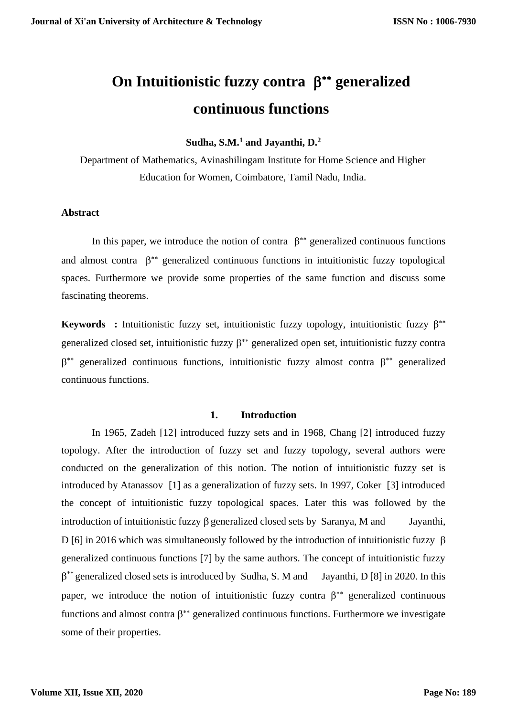# On Intuitionistic fuzzy contra  $\beta^*$  generalized **continuous functions**

**Sudha, S.M.<sup>1</sup> and Jayanthi, D.<sup>2</sup>**

Department of Mathematics, Avinashilingam Institute for Home Science and Higher Education for Women, Coimbatore, Tamil Nadu, India.

## **Abstract**

In this paper, we introduce the notion of contra  $\beta^{**}$  generalized continuous functions and almost contra  $\beta^{**}$  generalized continuous functions in intuitionistic fuzzy topological spaces. Furthermore we provide some properties of the same function and discuss some fascinating theorems.

**Keywords** : Intuitionistic fuzzy set, intuitionistic fuzzy topology, intuitionistic fuzzy  $\beta^{**}$ generalized closed set, intuitionistic fuzzy  $\beta^{**}$  generalized open set, intuitionistic fuzzy contra  $\beta^{**}$  generalized continuous functions, intuitionistic fuzzy almost contra  $\beta^{**}$  generalized continuous functions.

## **1. Introduction**

In 1965, Zadeh [12] introduced fuzzy sets and in 1968, Chang [2] introduced fuzzy topology. After the introduction of fuzzy set and fuzzy topology, several authors were conducted on the generalization of this notion. The notion of intuitionistic fuzzy set is introduced by Atanassov [1] as a generalization of fuzzy sets. In 1997, Coker [3] introduced the concept of intuitionistic fuzzy topological spaces. Later this was followed by the introduction of intuitionistic fuzzy  $\beta$  generalized closed sets by Saranya, M and Jayanthi, D [6] in 2016 which was simultaneously followed by the introduction of intuitionistic fuzzy  $\beta$ generalized continuous functions [7] by the same authors. The concept of intuitionistic fuzzy  $\beta^{**}$  generalized closed sets is introduced by Sudha, S. M and Jayanthi, D [8] in 2020. In this paper, we introduce the notion of intuitionistic fuzzy contra  $\beta^{**}$  generalized continuous functions and almost contra  $\beta^{**}$  generalized continuous functions. Furthermore we investigate some of their properties.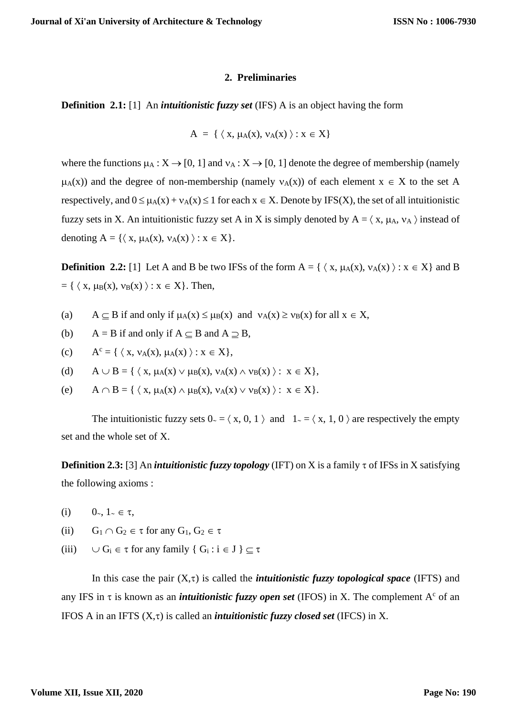#### **2. Preliminaries**

**Definition 2.1:** [1]An *intuitionistic fuzzy set* (IFS) A is an object having the form

$$
A = \{ \langle x, \mu_A(x), \nu_A(x) \rangle : x \in X \}
$$

where the functions  $\mu_A : X \to [0, 1]$  and  $v_A : X \to [0, 1]$  denote the degree of membership (namely  $\mu_A(x)$ ) and the degree of non-membership (namely  $v_A(x)$ ) of each element  $x \in X$  to the set A respectively, and  $0 \le \mu_A(x) + \nu_A(x) \le 1$  for each  $x \in X$ . Denote by IFS(X), the set of all intuitionistic fuzzy sets in X. An intuitionistic fuzzy set A in X is simply denoted by  $A = \langle x, \mu_A, \nu_A \rangle$  instead of denoting  $A = \{ \langle x, \mu_A(x), \nu_A(x) \rangle : x \in X \}.$ 

**Definition 2.2:** [1] Let A and B be two IFSs of the form  $A = \{ \langle x, \mu_A(x), \nu_A(x) \rangle : x \in X \}$  and B  $= \{ \langle x, \mu_B(x), \nu_B(x) \rangle : x \in X \}.$  Then,

- (a)  $A \subset B$  if and only if  $\mu_A(x) \le \mu_B(x)$  and  $\nu_A(x) \ge \nu_B(x)$  for all  $x \in X$ ,
- (b)  $A = B$  if and only if  $A \subseteq B$  and  $A \supset B$ ,
- $(c)$  $A^{c} = \{ \langle x, v_{A}(x), \mu_{A}(x) \rangle : x \in X \},$
- (d)  $A \cup B = \{ \langle x, \mu_A(x) \vee \mu_B(x), \nu_A(x) \wedge \nu_B(x) \rangle : x \in X \},$
- (e)  $A \cap B = \{ \langle x, \mu_A(x) \wedge \mu_B(x), \nu_A(x) \vee \nu_B(x) \rangle : x \in X \}.$

The intuitionistic fuzzy sets  $0 \le x$ ,  $x$ ,  $0$ ,  $1 \le x$  and  $1 \le x$ ,  $1$ ,  $0 \le x$  are respectively the empty set and the whole set of X.

**Definition 2.3:** [3] An *intuitionistic fuzzy topology* (IFT) on X is a family  $\tau$  of IFSs in X satisfying the following axioms :

- (i)  $0, 1, \in \tau$ ,
- (ii)  $G_1 \cap G_2 \in \tau$  for any  $G_1, G_2 \in \tau$
- (iii)  $\cup G_i \in \tau$  for any family  $\{ G_i : i \in J \} \subset \tau$

In this case the pair  $(X,\tau)$  is called the *intuitionistic fuzzy topological space* (IFTS) and any IFS in  $\tau$  is known as an *intuitionistic fuzzy open set* (IFOS) in X. The complement  $A^c$  of an IFOS A in an IFTS  $(X, \tau)$  is called an *intuitionistic fuzzy closed set* (IFCS) in X.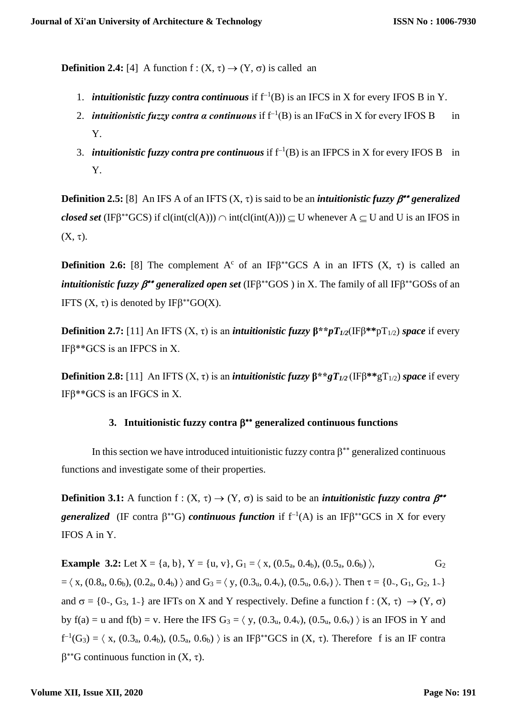**Definition 2.4:** [4] A function  $f : (X, \tau) \rightarrow (Y, \sigma)$  is called an

- 1. *intuitionistic fuzzy contra continuous* if  $f^{-1}(B)$  is an IFCS in X for every IFOS B in Y.
- 2. *intuitionistic fuzzy contra a continuous* if  $f^{-1}(B)$  is an IF $\alpha$ CS in X for every IFOS B in Y.
- 3. *intuitionistic fuzzy contra pre continuous* if  $f^{-1}(B)$  is an IFPCS in X for every IFOS B in Y.

**Definition 2.5:** [8] An IFS A of an IFTS  $(X, \tau)$  is said to be an *intuitionistic fuzzy*  $\beta^{**}$  *generalized closed set* (IF $\beta^*$ <sup>c</sup>GCS) if cl(int(cl(A)))  $\cap$  int(cl(int(A)))  $\subseteq$  U whenever A  $\subseteq$  U and U is an IFOS in  $(X, \tau)$ .

**Definition 2.6:** [8] The complement A<sup>c</sup> of an IF $\beta$ <sup>\*</sup>GCS A in an IFTS  $(X, \tau)$  is called an *intuitionistic fuzzy*  $\beta^{**}$  *generalized open set* (IF $\beta^{**}GOS$ ) in X. The family of all IF $\beta^{**}GOS$ s of an IFTS  $(X, \tau)$  is denoted by IF $\beta^{**}GO(X)$ .

**Definition 2.7:** [11] An IFTS  $(X, \tau)$  is an *intuitionistic fuzzy*  $B^* * pT_{1/2}(\text{IFB}^{**}pT_{1/2})$  *space* if every IFβ\*\*GCS is an IFPCS in X.

**Definition 2.8:** [11] An IFTS  $(X, \tau)$  is an *intuitionistic fuzzy*  $\beta^*$ *\*gT*<sub>1/2</sub> (IF $\beta^*$ <sup>\*</sup>*gT*<sub>1/2</sub>) *space* if every IFβ\*\*GCS is an IFGCS in X.

# **3. Intuitionistic fuzzy contra generalized continuous functions**

In this section we have introduced intuitionistic fuzzy contra  $\beta^{**}$  generalized continuous functions and investigate some of their properties.

**Definition 3.1:** A function  $f : (X, \tau) \to (Y, \sigma)$  is said to be an *intuitionistic fuzzy contra*  $\beta^{**}$ *generalized* (IF contra  $\beta^{**}G$ ) *continuous function* if  $f^{-1}(A)$  is an IF $\beta^{**}GCS$  in X for every IFOS A in Y.

**Example 3.2:** Let  $X = \{a, b\}$ ,  $Y = \{u, v\}$ ,  $G_1 = \langle x, (0.5_a, 0.4_b), (0.5_a, 0.6_b) \rangle$ ,  $G_2$  $= \langle x, (0.8_{a}, 0.6_{b}), (0.2_{a}, 0.4_{b}) \rangle$  and  $G_3 = \langle y, (0.3_{u}, 0.4_{v}), (0.5_{u}, 0.6_{v}) \rangle$ . Then  $\tau = \{0, G_1, G_2, 1, \}$ and  $\sigma = \{0, \ldots, G_3, 1\}$  are IFTs on X and Y respectively. Define a function  $f : (X, \tau) \to (Y, \sigma)$ by  $f(a) = u$  and  $f(b) = v$ . Here the IFS  $G_3 = \langle y, (0.3_u, 0.4_v), (0.5_u, 0.6_v) \rangle$  is an IFOS in Y and  $f^{-1}(G_3) = \langle x, (0.3_a, 0.4_b), (0.5_a, 0.6_b) \rangle$  is an IF $\beta^{**}GCS$  in  $(X, \tau)$ . Therefore f is an IF contra  $\beta^{**}$ G continuous function in  $(X, \tau)$ .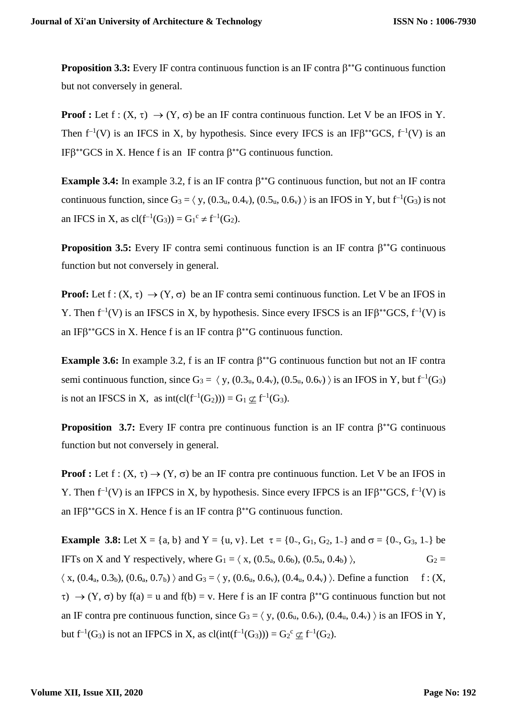**Proposition 3.3:** Every IF contra continuous function is an IF contra  $\beta^*$ <sup>G</sup> continuous function but not conversely in general.

**Proof :** Let  $f : (X, \tau) \to (Y, \sigma)$  be an IF contra continuous function. Let V be an IFOS in Y. Then  $f^{-1}(V)$  is an IFCS in X, by hypothesis. Since every IFCS is an IF $\beta^*GCS$ ,  $f^{-1}(V)$  is an IF $\beta^*$ <sup>GCS</sup> in X. Hence f is an IF contra  $\beta^*$ <sup>G</sup> continuous function.

**Example 3.4:** In example 3.2, f is an IF contra  $\beta^{**}G$  continuous function, but not an IF contra continuous function, since  $G_3 = \langle y, (0.3_u, 0.4_v), (0.5_u, 0.6_v) \rangle$  is an IFOS in Y, but  $f^{-1}(G_3)$  is not an IFCS in X, as  $cl(f^{-1}(G_3)) = G_1^c \neq f^{-1}(G_2)$ .

**Proposition 3.5:** Every IF contra semi continuous function is an IF contra  $\beta^*$ <sup>\*</sup>G continuous function but not conversely in general.

**Proof:** Let  $f: (X, \tau) \to (Y, \sigma)$  be an IF contra semi continuous function. Let V be an IFOS in Y. Then  $f^{-1}(V)$  is an IFSCS in X, by hypothesis. Since every IFSCS is an IF $\beta^*GCS$ ,  $f^{-1}(V)$  is an IF $\beta^*$ <sup>\*</sup>GCS in X. Hence f is an IF contra  $\beta^*$ <sup>\*</sup>G continuous function.

**Example 3.6:** In example 3.2, f is an IF contra  $\beta^{**}$ G continuous function but not an IF contra semi continuous function, since  $G_3 = \langle y, (0.3_u, 0.4_v), (0.5_u, 0.6_v) \rangle$  is an IFOS in Y, but  $f^{-1}(G_3)$ is not an IFSCS in X, as  $int(cl(f^{-1}(G_2))) = G_1 \nsubseteq f^{-1}(G_3)$ .

**Proposition 3.7:** Every IF contra pre continuous function is an IF contra  $\beta^*$ <sup>\*</sup>G continuous function but not conversely in general.

**Proof :** Let  $f : (X, \tau) \to (Y, \sigma)$  be an IF contra pre continuous function. Let V be an IFOS in Y. Then  $f^{-1}(V)$  is an IFPCS in X, by hypothesis. Since every IFPCS is an IF $\beta^*GCS$ ,  $f^{-1}(V)$  is an IF $\beta^*$ <sup>\*</sup>GCS in X. Hence f is an IF contra  $\beta^*$ <sup>\*</sup>G continuous function.

**Example 3.8:** Let  $X = \{a, b\}$  and  $Y = \{u, v\}$ . Let  $\tau = \{0, G_1, G_2, 1\}$  and  $\sigma = \{0, G_3, 1\}$  be IFTs on X and Y respectively, where  $G_1 = \langle x, (0.5_a, 0.6_b), (0.5_a, 0.4_b) \rangle$ ,  $G_2 =$  $\langle x, (0.4_{a}, 0.3_{b}), (0.6_{a}, 0.7_{b}) \rangle$  and  $G_3 = \langle y, (0.6_{u}, 0.6_{v}), (0.4_{u}, 0.4_{v}) \rangle$ . Define a function f: (X,  $\tau$ )  $\rightarrow$  (Y,  $\sigma$ ) by f(a) = u and f(b) = v. Here f is an IF contra  $\beta^{**}G$  continuous function but not an IF contra pre continuous function, since  $G_3 = \langle y, (0.6_u, 0.6_v), (0.4_u, 0.4_v) \rangle$  is an IFOS in Y, but  $f^{-1}(G_3)$  is not an IFPCS in X, as  $cl(int(f^{-1}(G_3))) = G_2^c \nsubseteq f^{-1}(G_2)$ .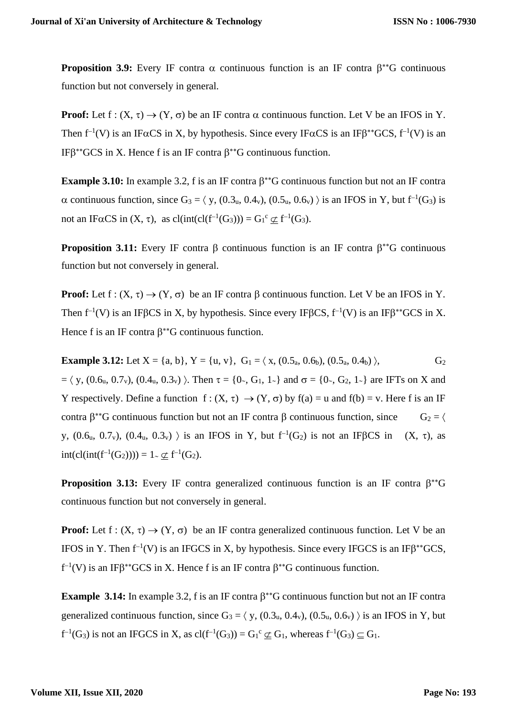**Proposition 3.9:** Every IF contra  $\alpha$  continuous function is an IF contra  $\beta^{**}G$  continuous function but not conversely in general.

**Proof:** Let  $f: (X, \tau) \to (Y, \sigma)$  be an IF contra  $\alpha$  continuous function. Let V be an IFOS in Y. Then  $f^{-1}(V)$  is an IF $\alpha CS$  in X, by hypothesis. Since every IF $\alpha CS$  is an IF $\beta^{**}GCS$ ,  $f^{-1}(V)$  is an IF $\beta^*$ <sup>GCS</sup> in X. Hence f is an IF contra  $\beta^*$ <sup>G</sup> continuous function.

**Example 3.10:** In example 3.2, f is an IF contra  $\beta^{**}$ G continuous function but not an IF contra  $\alpha$  continuous function, since  $G_3 = \langle y, (0.3_u, 0.4_v), (0.5_u, 0.6_v) \rangle$  is an IFOS in Y, but  $f^{-1}(G_3)$  is not an IF $\alpha$ CS in  $(X, \tau)$ , as  $cl(int(cl(f^{-1}(G_3))) = G_1^c \nsubseteq f^{-1}(G_3)$ .

**Proposition 3.11:** Every IF contra  $\beta$  continuous function is an IF contra  $\beta^{*}G$  continuous function but not conversely in general.

**Proof:** Let  $f: (X, \tau) \to (Y, \sigma)$  be an IF contra  $\beta$  continuous function. Let V be an IFOS in Y. Then  $f^{-1}(V)$  is an IFBCS in X, by hypothesis. Since every IFBCS,  $f^{-1}(V)$  is an IFB<sup>\*\*</sup>GCS in X. Hence f is an IF contra  $\beta^*$ G continuous function.

**Example 3.12:** Let  $X = \{a, b\}$ ,  $Y = \{u, v\}$ ,  $G_1 = \langle x, (0.5_a, 0.6_b), (0.5_a, 0.4_b) \rangle$ ,  $G_2$  $= \langle y, (0.6_{u}, 0.7_{v}), (0.4_{u}, 0.3_{v}) \rangle$ . Then  $\tau = \{0, G_1, 1_{\gamma}\}\$  and  $\sigma = \{0, G_2, 1_{\gamma}\}\$  are IFTs on X and Y respectively. Define a function  $f: (X, \tau) \to (Y, \sigma)$  by  $f(a) = u$  and  $f(b) = v$ . Here f is an IF contra  $\beta^*$ <sup>\*</sup>G continuous function but not an IF contra  $\beta$  continuous function, since  $G_2 = \langle$ y,  $(0.6_u, 0.7_v)$ ,  $(0.4_u, 0.3_v)$  is an IFOS in Y, but  $f^{-1}(G_2)$  is not an IFBCS in  $(X, \tau)$ , as int(cl(int(f<sup>-1</sup>(G<sub>2</sub>)))) = 1 ∼  $\underline{\subset}$  f<sup>-1</sup>(G<sub>2</sub>).

**Proposition 3.13:** Every IF contra generalized continuous function is an IF contra  $\beta^*G$ continuous function but not conversely in general.

**Proof:** Let  $f : (X, \tau) \to (Y, \sigma)$  be an IF contra generalized continuous function. Let V be an IFOS in Y. Then  $f^{-1}(V)$  is an IFGCS in X, by hypothesis. Since every IFGCS is an IF $\beta^{**}GCS$ ,  $f^{-1}(V)$  is an IF $\beta^{**}$ GCS in X. Hence f is an IF contra  $\beta^{**}$ G continuous function.

**Example 3.14:** In example 3.2, f is an IF contra  $\beta^{**}$ G continuous function but not an IF contra generalized continuous function, since  $G_3 = \langle y, (0.3_u, 0.4_v), (0.5_u, 0.6_v) \rangle$  is an IFOS in Y, but  $f^{-1}(G_3)$  is not an IFGCS in X, as  $cl(f^{-1}(G_3)) = G_1^c \nsubseteq G_1$ , whereas  $f^{-1}(G_3) \subseteq G_1$ .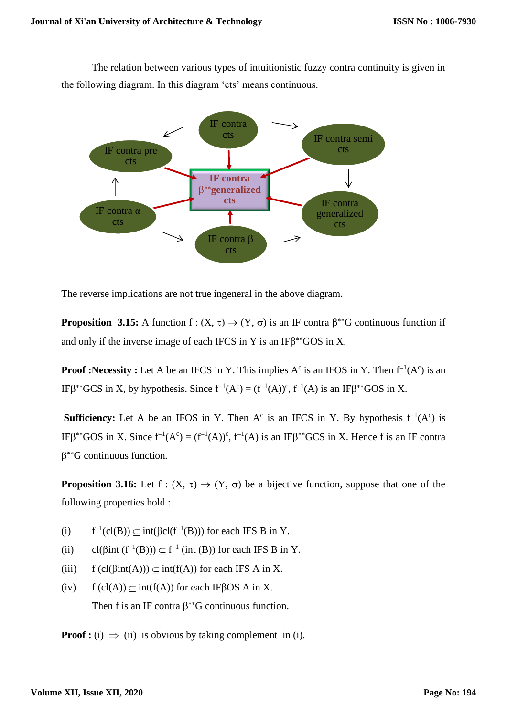The relation between various types of intuitionistic fuzzy contra continuity is given in the following diagram. In this diagram 'cts' means continuous.



The reverse implications are not true ingeneral in the above diagram.

**Proposition 3.15:** A function  $f: (X, \tau) \to (Y, \sigma)$  is an IF contra  $\beta^{**}G$  continuous function if and only if the inverse image of each IFCS in Y is an IF $\beta$ <sup>\*\*</sup>GOS in X.

**Proof :Necessity :** Let A be an IFCS in Y. This implies  $A^c$  is an IFOS in Y. Then  $f^{-1}(A^c)$  is an IFβ<sup>\*\*</sup>GCS in X, by hypothesis. Since  $f^{-1}(A^c) = (f^{-1}(A))^c$ ,  $f^{-1}(A)$  is an IFβ<sup>\*\*</sup>GOS in X.

**Sufficiency:** Let A be an IFOS in Y. Then A<sup>c</sup> is an IFCS in Y. By hypothesis  $f^{-1}(A^c)$  is IFβ<sup>\*\*</sup>GOS in X. Since  $f^{-1}(A^c) = (f^{-1}(A))^c$ ,  $f^{-1}(A)$  is an IFβ<sup>\*\*</sup>GCS in X. Hence f is an IF contra  $\beta^*$ <sup>G</sup> continuous function.

**Proposition 3.16:** Let  $f : (X, \tau) \to (Y, \sigma)$  be a bijective function, suppose that one of the following properties hold :

- $(i)$  $L^{-1}(cl(B)) \subseteq int(\beta cl(f^{-1}(B)))$  for each IFS B in Y.
- (ii) cl( $\beta$ int (f<sup>-1</sup>(B)))  $\subseteq$  f<sup>-1</sup> (int (B)) for each IFS B in Y.
- (iii)  $f(cl(\beta int(A))) \subset int(f(A))$  for each IFS A in X.
- (iv)  $f(cl(A)) \subset int(f(A))$  for each IFBOS A in X. Then f is an IF contra  $\beta^*$ G continuous function.

**Proof :** (i)  $\implies$  (ii) is obvious by taking complement in (i).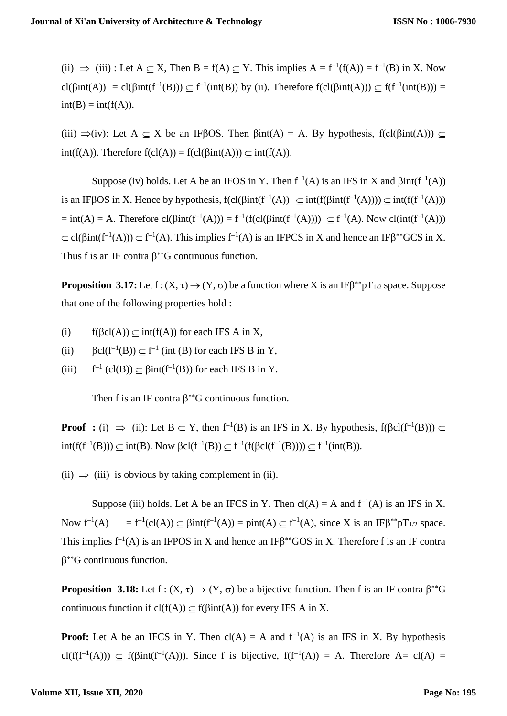(ii)  $\Rightarrow$  (iii) : Let A  $\subseteq$  X, Then B = f(A)  $\subseteq$  Y. This implies A = f<sup>-1</sup>(f(A)) = f<sup>-1</sup>(B) in X. Now cl( $\beta$ int(A)) = cl( $\beta$ int(f<sup>-1</sup>(B)))  $\subseteq$  f<sup>-1</sup>(int(B)) by (ii). Therefore f(cl( $\beta$ int(A)))  $\subseteq$  f(f<sup>-1</sup>(int(B))) =  $int(B) = int(f(A)).$ 

(iii)  $\Rightarrow$ (iv): Let A  $\subseteq$  X be an IFBOS. Then  $\beta$ int(A) = A. By hypothesis, f(cl( $\beta$ int(A)))  $\subseteq$  $int(f(A))$ . Therefore  $f(cl(A)) = f(cl(\beta int(A))) \subset int(f(A))$ .

Suppose (iv) holds. Let A be an IFOS in Y. Then  $f^{-1}(A)$  is an IFS in X and  $\beta$ int( $f^{-1}(A)$ ) is an IFβOS in X. Hence by hypothesis,  $f(cl(\beta int(f^{-1}(A)) \subseteq int(f(\beta int(f^{-1}(A)))) \subseteq int(f(f^{-1}(A)))$  $=$  int(A) = A. Therefore  $cl(\beta int(f^{-1}(A))) = f^{-1}(f(cl(\beta int(f^{-1}(A)))) \subseteq f^{-1}(A)$ . Now  $cl(int(f^{-1}(A)))$  $\subseteq$  cl( $\beta$ int(f<sup>-1</sup>(A)))  $\subseteq$  f<sup>-1</sup>(A). This implies f<sup>-1</sup>(A) is an IFPCS in X and hence an IF $\beta^*$ <sup>\*</sup>GCS in X. Thus f is an IF contra  $\beta^*$ <sup>G</sup> continuous function.

**Proposition 3.17:** Let  $f: (X, \tau) \to (Y, \sigma)$  be a function where X is an IF $\beta^{**}pT_{1/2}$  space. Suppose that one of the following properties hold :

- (i)  $f(\text{fcl}(A)) \subseteq \text{int}(f(A))$  for each IFS A in X,
- (ii)  $\beta \text{cl}(f^{-1}(B)) \subseteq f^{-1}$  (int (B) for each IFS B in Y,
- $(iii)$  $\zeta^{-1}$  (cl(B))  $\subseteq$   $\beta$ int(f<sup>-1</sup>(B)) for each IFS B in Y.

Then f is an IF contra  $\beta^*$ G continuous function.

**Proof** : (i)  $\Rightarrow$  (ii): Let B  $\subseteq$  Y, then f<sup>-1</sup>(B) is an IFS in X. By hypothesis, f( $\beta$ cl(f<sup>-1</sup>(B)))  $\subseteq$  $int(f(f^{-1}(B))) ⊆ int(B)$ . Now βcl(f<sup>-1</sup>(B))  $⊆ f^{-1}(f(\beta cl(f^{-1}(B)))) ⊆ f^{-1}(int(B))$ .

(ii)  $\Rightarrow$  (iii) is obvious by taking complement in (ii).

Suppose (iii) holds. Let A be an IFCS in Y. Then  $cl(A) = A$  and  $f^{-1}(A)$  is an IFS in X. Now  $f^{-1}(A)$ (A) = f<sup>-1</sup>(cl(A))  $\subseteq$   $\beta$ int(f<sup>-1</sup>(A)) = pint(A)  $\subseteq$  f<sup>-1</sup>(A), since X is an IF $\beta$ <sup>\*</sup><sup>\*</sup>pT<sub>1/2</sub> space. This implies  $f^{-1}(A)$  is an IFPOS in X and hence an IF $\beta^*$ <sup>\*</sup>GOS in X. Therefore f is an IF contra  $\beta^*$ <sup>G</sup> continuous function.

**Proposition 3.18:** Let  $f: (X, \tau) \to (Y, \sigma)$  be a bijective function. Then f is an IF contra  $\beta^{**}G$ continuous function if  $cl(f(A)) \subseteq f(\beta int(A))$  for every IFS A in X.

**Proof:** Let A be an IFCS in Y. Then  $cl(A) = A$  and  $f^{-1}(A)$  is an IFS in X. By hypothesis cl(f(f<sup>-1</sup>(A)))  $\subseteq$  f( $\beta$ int(f<sup>-1</sup>(A))). Since f is bijective, f(f<sup>-1</sup>(A)) = A. Therefore A= cl(A) =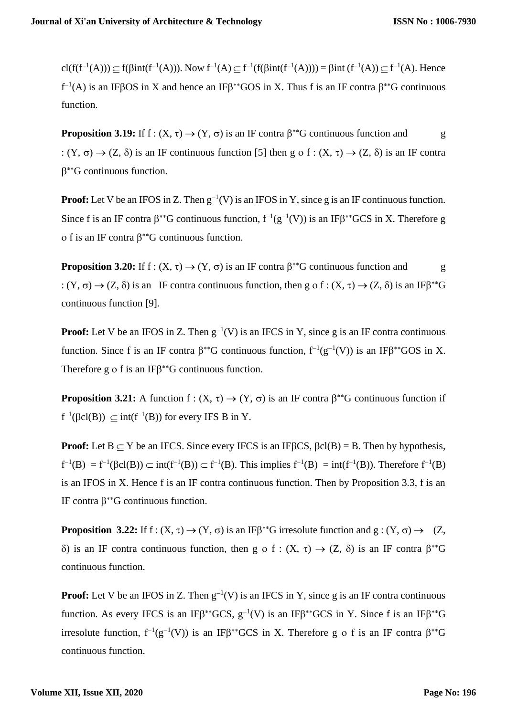cl(f(f<sup>-1</sup>(A)))  $\subseteq$  f( $\beta$ int(f<sup>-1</sup>(A))). Now f<sup>-1</sup>(A)  $\subseteq$  f<sup>-1</sup>(f( $\beta$ int(f<sup>-1</sup>(A)))) =  $\beta$ int (f<sup>-1</sup>(A))  $\subseteq$  f<sup>-1</sup>(A). Hence  $f^{-1}(A)$  is an IFBOS in X and hence an IFB<sup>\*\*</sup>GOS in X. Thus f is an IF contra  $\beta^{**}G$  continuous function.

**Proposition 3.19:** If  $f : (X, \tau) \to (Y, \sigma)$  is an IF contra  $\beta^{**}G$  continuous function and g :  $(Y, \sigma) \rightarrow (Z, \delta)$  is an IF continuous function [5] then g o f :  $(X, \tau) \rightarrow (Z, \delta)$  is an IF contra  $\beta^*$ <sup>G</sup> continuous function.

**Proof:** Let V be an IFOS in Z. Then  $g^{-1}(V)$  is an IFOS in Y, since g is an IF continuous function. Since f is an IF contra  $\beta^{**}G$  continuous function,  $f^{-1}(g^{-1}(V))$  is an IF $\beta^{**}GCS$  in X. Therefore g o f is an IF contra  $\beta^*$ G continuous function.

**Proposition 3.20:** If  $f : (X, \tau) \to (Y, \sigma)$  is an IF contra  $\beta^{**}G$  continuous function and g :  $(Y, \sigma) \rightarrow (Z, \delta)$  is an IF contra continuous function, then g o f :  $(X, \tau) \rightarrow (Z, \delta)$  is an IF $\beta^{**}G$ continuous function [9].

**Proof:** Let V be an IFOS in Z. Then  $g^{-1}(V)$  is an IFCS in Y, since g is an IF contra continuous function. Since f is an IF contra  $\beta^{**}G$  continuous function,  $f^{-1}(g^{-1}(V))$  is an IF $\beta^{**}GOS$  in X. Therefore  $g \circ f$  is an IF $\beta^{**}G$  continuous function.

**Proposition 3.21:** A function  $f : (X, \tau) \to (Y, \sigma)$  is an IF contra  $\beta^{**}G$  continuous function if  $f^{-1}(\beta cl(B)) \subseteq int(f^{-1}(B))$  for every IFS B in Y.

**Proof:** Let  $B \subseteq Y$  be an IFCS. Since every IFCS is an IF $\beta$ CS,  $\beta$ cl(B) = B. Then by hypothesis,  $f^{-1}(B) = f^{-1}(\beta cl(B)) \subseteq int(f^{-1}(B)) \subseteq f^{-1}(B)$ . This implies  $f^{-1}(B) = int(f^{-1}(B))$ . Therefore  $f^{-1}(B)$ is an IFOS in X. Hence f is an IF contra continuous function. Then by Proposition 3.3, f is an IF contra  $\beta^*$ <sup>S</sup> continuous function.

**Proposition 3.22:** If  $f: (X, \tau) \to (Y, \sigma)$  is an IF $\beta^{**}G$  irresolute function and  $g: (Y, \sigma) \to (Z, \sigma)$  $\delta$ ) is an IF contra continuous function, then g o f :  $(X, \tau) \rightarrow (Z, \delta)$  is an IF contra  $\beta^{*}G$ continuous function.

**Proof:** Let V be an IFOS in Z. Then  $g^{-1}(V)$  is an IFCS in Y, since g is an IF contra continuous function. As every IFCS is an IF $\beta^{**}GCS$ ,  $g^{-1}(V)$  is an IF $\beta^{**}GCS$  in Y. Since f is an IF $\beta^{**}G$ irresolute function,  $f^{-1}(g^{-1}(V))$  is an IFβ<sup>\*\*</sup>GCS in X. Therefore g o f is an IF contra β<sup>\*\*</sup>G continuous function.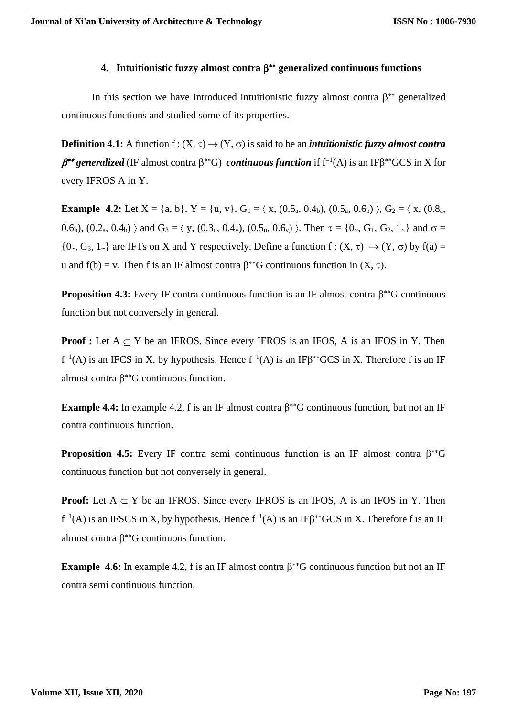# **4. Intuitionistic fuzzy almost contra generalized continuous functions**

In this section we have introduced intuitionistic fuzzy almost contra  $\beta^{**}$  generalized continuous functions and studied some of its properties.

**Definition 4.1:** A function  $f: (X, \tau) \to (Y, \sigma)$  is said to be an *intuitionistic fuzzy almost contra β*<sup>\*\*</sup> generalized (IF almost contra β<sup>\*\*</sup>G) *continuous function* if f<sup>-1</sup>(A) is an IFβ<sup>\*\*</sup>GCS in X for every IFROS A in Y.

**Example 4.2:** Let  $X = \{a, b\}$ ,  $Y = \{u, v\}$ ,  $G_1 = \langle x, (0.5_a, 0.4_b), (0.5_a, 0.6_b) \rangle$ ,  $G_2 = \langle x, (0.8_a, 0.6_b), (0.5_a, 0.6_b) \rangle$ 0.6<sub>b</sub>),  $(0.2_a, 0.4_b)$  and  $G_3 = \langle y, (0.3_u, 0.4_v), (0.5_u, 0.6_v) \rangle$ . Then  $\tau = \{0, G_1, G_2, 1\rangle$  and  $\sigma =$  $\{0, G_3, 1\}$  are IFTs on X and Y respectively. Define a function  $f : (X, \tau) \to (Y, \sigma)$  by  $f(a) =$ u and  $f(b) = v$ . Then f is an IF almost contra  $\beta^{**}G$  continuous function in  $(X, \tau)$ .

**Proposition 4.3:** Every IF contra continuous function is an IF almost contra  $\beta^*$ <sup>\*</sup>G continuous function but not conversely in general.

**Proof :** Let  $A \subset Y$  be an IFROS. Since every IFROS is an IFOS, A is an IFOS in Y. Then  $f^{-1}(A)$  is an IFCS in X, by hypothesis. Hence  $f^{-1}(A)$  is an IF $\beta^*$ <sup>+</sup>GCS in X. Therefore f is an IF almost contra  $\beta^{**}$ G continuous function.

**Example 4.4:** In example 4.2, f is an IF almost contra  $\beta^*$ <sup>\*</sup>G continuous function, but not an IF contra continuous function.

**Proposition 4.5:** Every IF contra semi continuous function is an IF almost contra  $\beta^*G$ continuous function but not conversely in general.

**Proof:** Let  $A \subset Y$  be an IFROS. Since every IFROS is an IFOS, A is an IFOS in Y. Then  $f^{-1}(A)$  is an IFSCS in X, by hypothesis. Hence  $f^{-1}(A)$  is an IF $\beta^{**}$ GCS in X. Therefore f is an IF almost contra  $\beta^{**}$ G continuous function.

**Example 4.6:** In example 4.2, f is an IF almost contra  $\beta^{**}G$  continuous function but not an IF contra semi continuous function.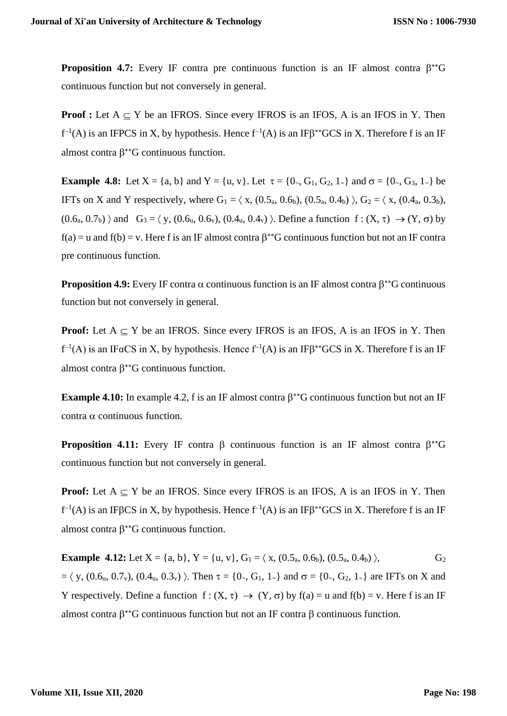**Proposition 4.7:** Every IF contra pre continuous function is an IF almost contra  $\beta^*G$ continuous function but not conversely in general.

**Proof :** Let  $A \subseteq Y$  be an IFROS. Since every IFROS is an IFOS, A is an IFOS in Y. Then  $f^{-1}(A)$  is an IFPCS in X, by hypothesis. Hence  $f^{-1}(A)$  is an IF $\beta^{**}$ GCS in X. Therefore f is an IF almost contra  $\beta^{**}$ G continuous function.

**Example 4.8:** Let  $X = \{a, b\}$  and  $Y = \{u, v\}$ . Let  $\tau = \{0, G_1, G_2, 1\}$  and  $\sigma = \{0, G_3, 1\}$  be IFTs on X and Y respectively, where  $G_1 = \langle x, (0.5_a, 0.6_b), (0.5_a, 0.4_b) \rangle$ ,  $G_2 = \langle x, (0.4_a, 0.3_b),$  $(0.6<sub>a</sub>, 0.7<sub>b</sub>)$  and  $G_3 = \langle y, (0.6<sub>u</sub>, 0.6<sub>v</sub>), (0.4<sub>u</sub>, 0.4<sub>v</sub>) \rangle$ . Define a function  $f : (X, \tau) \rightarrow (Y, \sigma)$  by  $f(a) = u$  and  $f(b) = v$ . Here f is an IF almost contra  $\beta^{**}G$  continuous function but not an IF contra pre continuous function.

**Proposition 4.9:** Every IF contra  $\alpha$  continuous function is an IF almost contra  $\beta^{**}G$  continuous function but not conversely in general.

**Proof:** Let  $A \subseteq Y$  be an IFROS. Since every IFROS is an IFOS, A is an IFOS in Y. Then  $f^{-1}(A)$  is an IF $\alpha$ CS in X, by hypothesis. Hence  $f^{-1}(A)$  is an IF $\beta^{**}$ GCS in X. Therefore f is an IF almost contra  $\beta^{**}$ G continuous function.

**Example 4.10:** In example 4.2, f is an IF almost contra  $\beta^{**}$ G continuous function but not an IF contra  $\alpha$  continuous function.

**Proposition 4.11:** Every IF contra  $\beta$  continuous function is an IF almost contra  $\beta^*G$ continuous function but not conversely in general.

**Proof:** Let  $A \subset Y$  be an IFROS. Since every IFROS is an IFOS, A is an IFOS in Y. Then  $f^{-1}(A)$  is an IFβCS in X, by hypothesis. Hence  $f^{-1}(A)$  is an IFβ<sup>\*\*</sup>GCS in X. Therefore f is an IF almost contra  $\beta^*$ <sup>G</sup> continuous function.

**Example 4.12:** Let  $X = \{a, b\}$ ,  $Y = \{u, v\}$ ,  $G_1 = \langle x, (0.5_a, 0.6_b), (0.5_a, 0.4_b) \rangle$ ,  $G_2$  $=\langle y, (0.6_u, 0.7_v), (0.4_u, 0.3_v) \rangle$ . Then  $\tau = \{0_0, G_1, 1_0\}$  and  $\sigma = \{0_0, G_2, 1_0\}$  are IFTs on X and Y respectively. Define a function  $f: (X, \tau) \to (Y, \sigma)$  by  $f(a) = u$  and  $f(b) = v$ . Here f is an IF almost contra  $\beta^*$ <sup>\*</sup>G continuous function but not an IF contra  $\beta$  continuous function.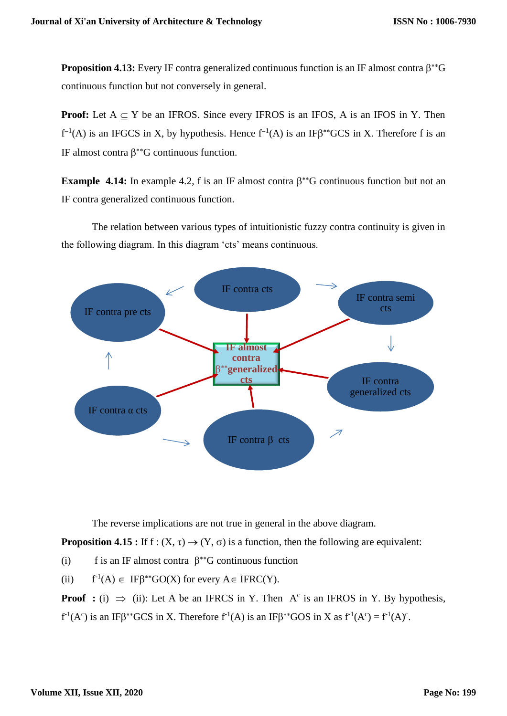**Proposition 4.13:** Every IF contra generalized continuous function is an IF almost contra  $\beta^*G$ continuous function but not conversely in general.

**Proof:** Let  $A \subseteq Y$  be an IFROS. Since every IFROS is an IFOS, A is an IFOS in Y. Then  $f^{-1}(A)$  is an IFGCS in X, by hypothesis. Hence  $f^{-1}(A)$  is an IF $\beta^{**}GCS$  in X. Therefore f is an IF almost contra  $\beta^*$ <sup>G</sup> continuous function.

**Example 4.14:** In example 4.2, f is an IF almost contra  $\beta^{**}$ G continuous function but not an IF contra generalized continuous function.

The relation between various types of intuitionistic fuzzy contra continuity is given in the following diagram. In this diagram 'cts' means continuous.



The reverse implications are not true in general in the above diagram.

**Proposition 4.15 :** If  $f: (X, \tau) \rightarrow (Y, \sigma)$  is a function, then the following are equivalent:

(i) f is an IF almost contra  $\beta^{**}G$  continuous function

 $(ii)$  $L^1(A) \in \text{IF}\beta^{**}GO(X)$  for every  $A \in \text{IFRC}(Y)$ .

**Proof** : (i)  $\implies$  (ii): Let A be an IFRCS in Y. Then A<sup>c</sup> is an IFROS in Y. By hypothesis,

 $f<sup>-1</sup>(A<sup>c</sup>)$  is an IF $\beta^{**}GCS$  in X. Therefore  $f<sup>-1</sup>(A)$  is an IF $\beta^{**}GOS$  in X as  $f<sup>-1</sup>(A<sup>c</sup>) = f<sup>-1</sup>(A)<sup>c</sup>$ .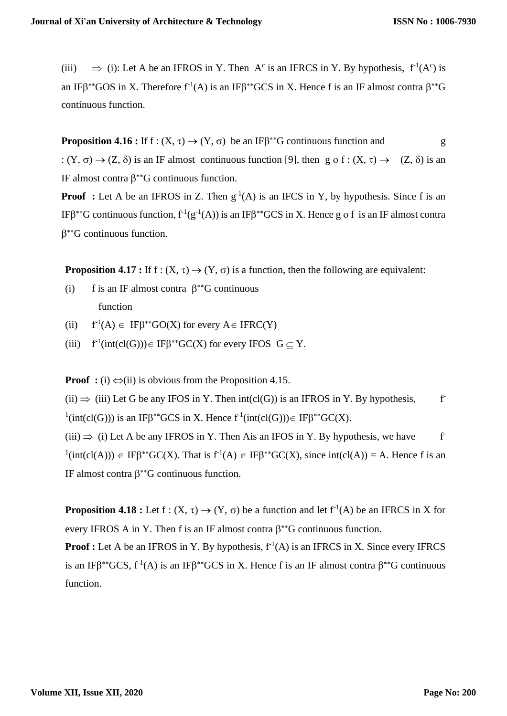(iii)  $\implies$  (i): Let A be an IFROS in Y. Then A<sup>c</sup> is an IFRCS in Y. By hypothesis,  $f^{-1}(A^c)$  is an IF $\beta^*$ <sup>\*</sup>GOS in X. Therefore f<sup>-1</sup>(A) is an IF $\beta^*$ <sup>\*</sup>GCS in X. Hence f is an IF almost contra  $\beta^*$ <sup>\*</sup>G continuous function.

**Proposition 4.16 :** If  $f: (X, \tau) \to (Y, \sigma)$  be an IF $\beta^{**}G$  continuous function and g :  $(Y, \sigma) \rightarrow (Z, \delta)$  is an IF almost continuous function [9], then g o f :  $(X, \tau) \rightarrow (Z, \delta)$  is an IF almost contra  $\beta^*$ <sup>G</sup> continuous function.

**Proof** : Let A be an IFROS in Z. Then  $g^{-1}(A)$  is an IFCS in Y, by hypothesis. Since f is an IF $\beta^*$ G continuous function,  $f^{-1}(g^{-1}(A))$  is an IF $\beta^*$ GCS in X. Hence g o f is an IF almost contra  $\beta^*$ <sup>G</sup> continuous function.

**Proposition 4.17 :** If f :  $(X, \tau) \rightarrow (Y, \sigma)$  is a function, then the following are equivalent:

- (i) f is an IF almost contra  $\beta^*$ <sup>G</sup> continuous function
- $(ii)$  $L^1(A) \in \text{IF}\beta^{**}GO(X)$  for every  $A \in \text{IFRC}(Y)$
- $(iii)$  $\mathrm{C}^1(\mathrm{int}(\mathrm{cl}(G))) \in \mathrm{IF}\beta^{**}\mathrm{GC}(X)$  for every IFOS  $G \subseteq Y$ .

**Proof** : (i)  $\iff$  (ii) is obvious from the Proposition 4.15.

(ii)  $\Rightarrow$  (iii) Let G be any IFOS in Y. Then int(cl(G)) is an IFROS in Y. By hypothesis,  $f<sup>-</sup>$  $\text{I}(\text{int}(cl(G)))$  is an IF $\beta^{**}GCS$  in X. Hence  $f^{\text{I}}(\text{int}(cl(G))) \in \text{IF}\beta^{**}GC(X)$ .

 $(iii) \Rightarrow (i)$  Let A be any IFROS in Y. Then Ais an IFOS in Y. By hypothesis, we have  $f^*$  $\text{I}(\text{int}(cl(A))) \in \text{IF}\beta^{**}\text{GC}(X)$ . That is  $f^{\text{I}}(A) \in \text{IF}\beta^{**}\text{GC}(X)$ , since  $\text{int}(cl(A)) = A$ . Hence f is an IF almost contra  $\beta^{**}G$  continuous function.

**Proposition 4.18 :** Let  $f : (X, \tau) \to (Y, \sigma)$  be a function and let  $f^{-1}(A)$  be an IFRCS in X for every IFROS A in Y. Then f is an IF almost contra  $\beta^{**}G$  continuous function.

**Proof :** Let A be an IFROS in Y. By hypothesis,  $f^{-1}(A)$  is an IFRCS in X. Since every IFRCS is an IF $\beta^*GCS$ ,  $f^{-1}(A)$  is an IF $\beta^*GCS$  in X. Hence f is an IF almost contra  $\beta^*G$  continuous function.